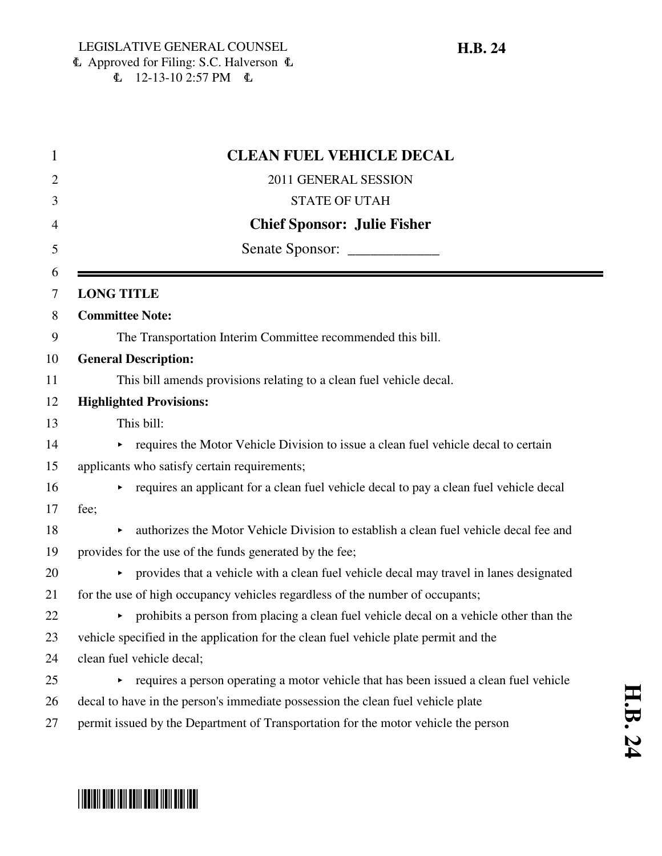| $\mathbf{1}$   | <b>CLEAN FUEL VEHICLE DECAL</b>                                                            |
|----------------|--------------------------------------------------------------------------------------------|
| $\overline{2}$ | 2011 GENERAL SESSION                                                                       |
| 3              | <b>STATE OF UTAH</b>                                                                       |
| 4              | <b>Chief Sponsor: Julie Fisher</b>                                                         |
| 5              | Senate Sponsor: _______________                                                            |
| 6              |                                                                                            |
| 7              | <b>LONG TITLE</b>                                                                          |
| 8              | <b>Committee Note:</b>                                                                     |
| 9              | The Transportation Interim Committee recommended this bill.                                |
| 10             | <b>General Description:</b>                                                                |
| 11             | This bill amends provisions relating to a clean fuel vehicle decal.                        |
| 12             | <b>Highlighted Provisions:</b>                                                             |
| 13             | This bill:                                                                                 |
| 14             | requires the Motor Vehicle Division to issue a clean fuel vehicle decal to certain         |
| 15             | applicants who satisfy certain requirements;                                               |
| 16             | requires an applicant for a clean fuel vehicle decal to pay a clean fuel vehicle decal     |
| 17             | fee;                                                                                       |
| 18             | authorizes the Motor Vehicle Division to establish a clean fuel vehicle decal fee and      |
| 19             | provides for the use of the funds generated by the fee;                                    |
| 20             | • provides that a vehicle with a clean fuel vehicle decal may travel in lanes designated   |
| 21             | for the use of high occupancy vehicles regardless of the number of occupants;              |
| 22             | prohibits a person from placing a clean fuel vehicle decal on a vehicle other than the     |
| 23             | vehicle specified in the application for the clean fuel vehicle plate permit and the       |
| 24             | clean fuel vehicle decal;                                                                  |
| 25             | requires a person operating a motor vehicle that has been issued a clean fuel vehicle<br>▶ |
| 26             | decal to have in the person's immediate possession the clean fuel vehicle plate            |
| 27             | permit issued by the Department of Transportation for the motor vehicle the person         |

# \*HB0024\*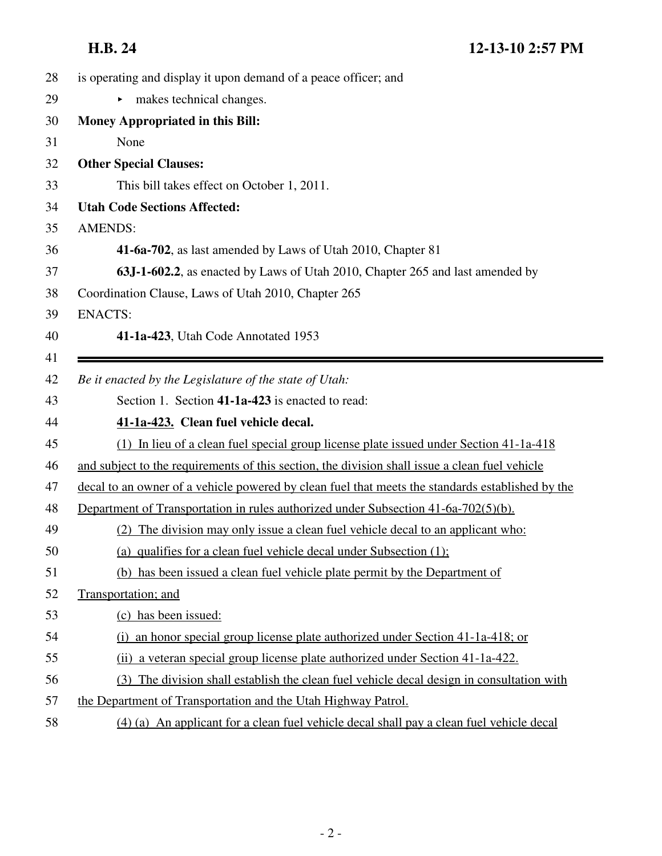| 28 | is operating and display it upon demand of a peace officer; and                                  |
|----|--------------------------------------------------------------------------------------------------|
| 29 | makes technical changes.<br>Þ.                                                                   |
| 30 | Money Appropriated in this Bill:                                                                 |
| 31 | None                                                                                             |
| 32 | <b>Other Special Clauses:</b>                                                                    |
| 33 | This bill takes effect on October 1, 2011.                                                       |
| 34 | <b>Utah Code Sections Affected:</b>                                                              |
| 35 | <b>AMENDS:</b>                                                                                   |
| 36 | 41-6a-702, as last amended by Laws of Utah 2010, Chapter 81                                      |
| 37 | 63J-1-602.2, as enacted by Laws of Utah 2010, Chapter 265 and last amended by                    |
| 38 | Coordination Clause, Laws of Utah 2010, Chapter 265                                              |
| 39 | <b>ENACTS:</b>                                                                                   |
| 40 | 41-1a-423, Utah Code Annotated 1953                                                              |
| 41 |                                                                                                  |
| 42 | Be it enacted by the Legislature of the state of Utah:                                           |
| 43 | Section 1. Section 41-1a-423 is enacted to read:                                                 |
| 44 | 41-1a-423. Clean fuel vehicle decal.                                                             |
| 45 | (1) In lieu of a clean fuel special group license plate issued under Section 41-1a-418           |
| 46 | and subject to the requirements of this section, the division shall issue a clean fuel vehicle   |
| 47 | decal to an owner of a vehicle powered by clean fuel that meets the standards established by the |
| 48 | Department of Transportation in rules authorized under Subsection 41-6a-702(5)(b).               |
| 49 | (2) The division may only issue a clean fuel vehicle decal to an applicant who:                  |
| 50 | (a) qualifies for a clean fuel vehicle decal under Subsection $(1)$ ;                            |
| 51 | (b) has been issued a clean fuel vehicle plate permit by the Department of                       |
| 52 | Transportation; and                                                                              |
| 53 | (c) has been issued:                                                                             |
| 54 | an honor special group license plate authorized under Section 41-1a-418; or<br>(i)               |
| 55 | (ii) a veteran special group license plate authorized under Section 41-1a-422.                   |
| 56 | (3) The division shall establish the clean fuel vehicle decal design in consultation with        |
| 57 | the Department of Transportation and the Utah Highway Patrol.                                    |
| 58 | (4) (a) An applicant for a clean fuel vehicle decal shall pay a clean fuel vehicle decal         |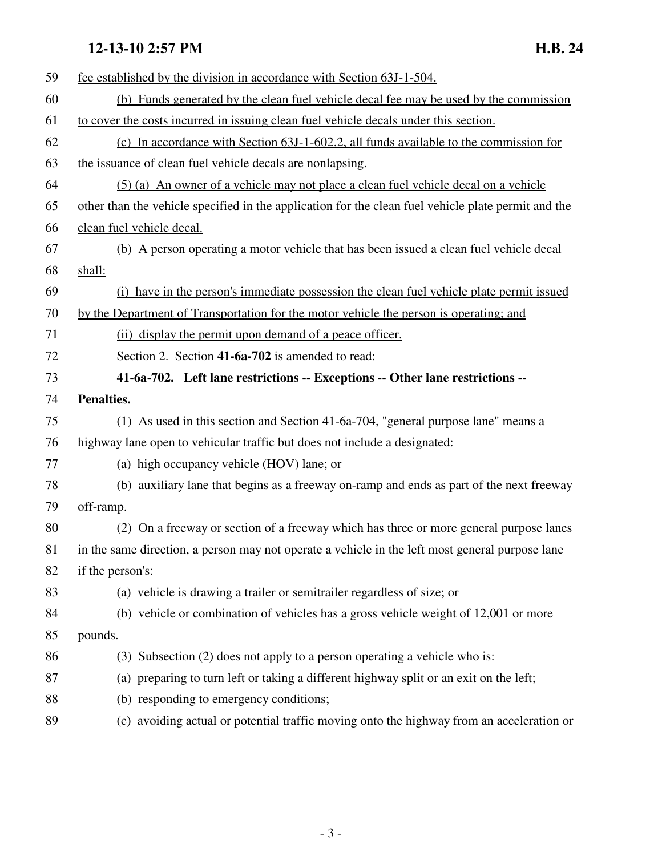### **12-13-10 2:57 PM H.B. 24**

| 59 | fee established by the division in accordance with Section 63J-1-504.                               |
|----|-----------------------------------------------------------------------------------------------------|
| 60 | (b) Funds generated by the clean fuel vehicle decal fee may be used by the commission               |
| 61 | to cover the costs incurred in issuing clean fuel vehicle decals under this section.                |
| 62 | (c) In accordance with Section 63J-1-602.2, all funds available to the commission for               |
| 63 | the issuance of clean fuel vehicle decals are nonlapsing.                                           |
| 64 | (5) (a) An owner of a vehicle may not place a clean fuel vehicle decal on a vehicle                 |
| 65 | other than the vehicle specified in the application for the clean fuel vehicle plate permit and the |
| 66 | clean fuel vehicle decal.                                                                           |
| 67 | (b) A person operating a motor vehicle that has been issued a clean fuel vehicle decal              |
| 68 | shall:                                                                                              |
| 69 | (i) have in the person's immediate possession the clean fuel vehicle plate permit issued            |
| 70 | by the Department of Transportation for the motor vehicle the person is operating; and              |
| 71 | (ii) display the permit upon demand of a peace officer.                                             |
| 72 | Section 2. Section 41-6a-702 is amended to read:                                                    |
| 73 | 41-6a-702. Left lane restrictions -- Exceptions -- Other lane restrictions --                       |
| 74 | Penalties.                                                                                          |
|    |                                                                                                     |
| 75 | (1) As used in this section and Section 41-6a-704, "general purpose lane" means a                   |
| 76 | highway lane open to vehicular traffic but does not include a designated:                           |
| 77 | (a) high occupancy vehicle (HOV) lane; or                                                           |
| 78 | (b) auxiliary lane that begins as a freeway on-ramp and ends as part of the next freeway            |
| 79 | off-ramp.                                                                                           |
| 80 | (2) On a freeway or section of a freeway which has three or more general purpose lanes              |
| 81 | in the same direction, a person may not operate a vehicle in the left most general purpose lane     |
| 82 | if the person's:                                                                                    |
| 83 | (a) vehicle is drawing a trailer or semitrailer regardless of size; or                              |
| 84 | (b) vehicle or combination of vehicles has a gross vehicle weight of 12,001 or more                 |
| 85 | pounds.                                                                                             |
| 86 | (3) Subsection (2) does not apply to a person operating a vehicle who is:                           |
| 87 | (a) preparing to turn left or taking a different highway split or an exit on the left;              |
| 88 | (b) responding to emergency conditions;                                                             |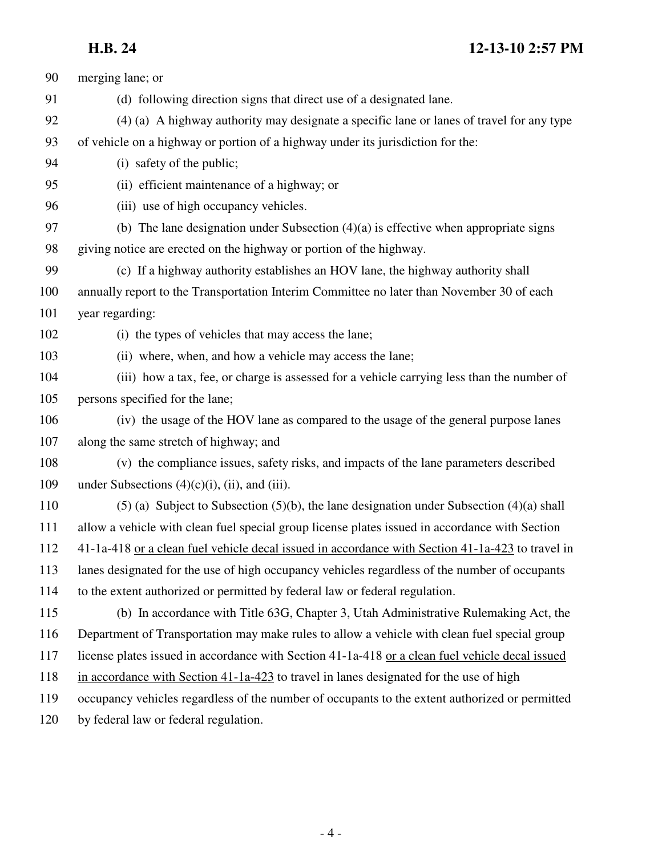## **H.B. 24 12-13-10 2:57 PM**

| 90  | merging lane; or                                                                                 |
|-----|--------------------------------------------------------------------------------------------------|
| 91  | (d) following direction signs that direct use of a designated lane.                              |
| 92  | (4) (a) A highway authority may designate a specific lane or lanes of travel for any type        |
| 93  | of vehicle on a highway or portion of a highway under its jurisdiction for the:                  |
| 94  | (i) safety of the public;                                                                        |
| 95  | (ii) efficient maintenance of a highway; or                                                      |
| 96  | (iii) use of high occupancy vehicles.                                                            |
| 97  | (b) The lane designation under Subsection $(4)(a)$ is effective when appropriate signs           |
| 98  | giving notice are erected on the highway or portion of the highway.                              |
| 99  | (c) If a highway authority establishes an HOV lane, the highway authority shall                  |
| 100 | annually report to the Transportation Interim Committee no later than November 30 of each        |
| 101 | year regarding:                                                                                  |
| 102 | (i) the types of vehicles that may access the lane;                                              |
| 103 | (ii) where, when, and how a vehicle may access the lane;                                         |
| 104 | (iii) how a tax, fee, or charge is assessed for a vehicle carrying less than the number of       |
| 105 | persons specified for the lane;                                                                  |
| 106 | (iv) the usage of the HOV lane as compared to the usage of the general purpose lanes             |
| 107 | along the same stretch of highway; and                                                           |
| 108 | (v) the compliance issues, safety risks, and impacts of the lane parameters described            |
| 109 | under Subsections $(4)(c)(i)$ , (ii), and (iii).                                                 |
| 110 | $(5)$ (a) Subject to Subsection $(5)(b)$ , the lane designation under Subsection $(4)(a)$ shall  |
| 111 | allow a vehicle with clean fuel special group license plates issued in accordance with Section   |
| 112 | 41-1a-418 or a clean fuel vehicle decal issued in accordance with Section 41-1a-423 to travel in |
| 113 | lanes designated for the use of high occupancy vehicles regardless of the number of occupants    |
| 114 | to the extent authorized or permitted by federal law or federal regulation.                      |
| 115 | (b) In accordance with Title 63G, Chapter 3, Utah Administrative Rulemaking Act, the             |
| 116 | Department of Transportation may make rules to allow a vehicle with clean fuel special group     |
| 117 | license plates issued in accordance with Section 41-1a-418 or a clean fuel vehicle decal issued  |
| 118 | in accordance with Section 41-1a-423 to travel in lanes designated for the use of high           |
| 119 | occupancy vehicles regardless of the number of occupants to the extent authorized or permitted   |
| 120 | by federal law or federal regulation.                                                            |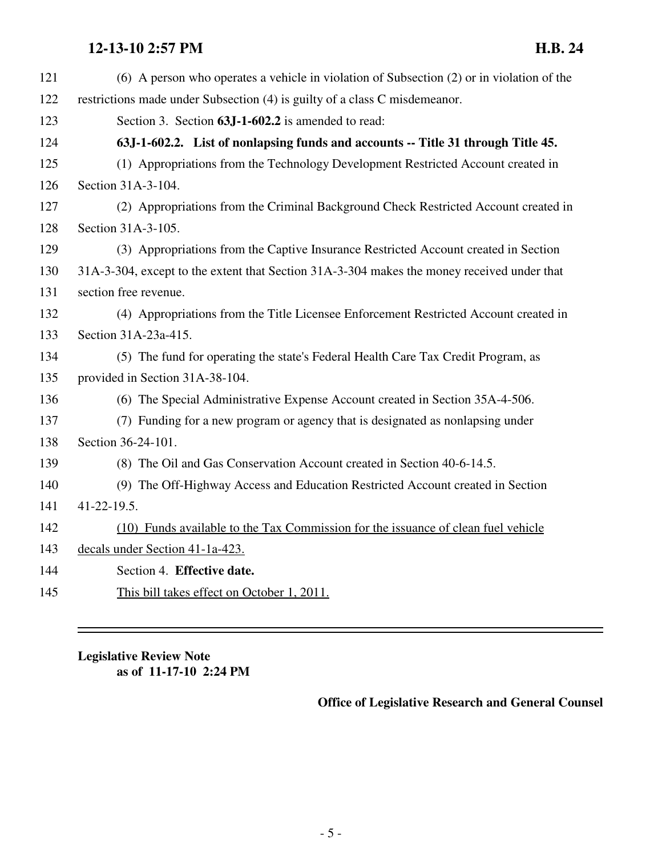### **12-13-10 2:57 PM H.B. 24**

| 121 | $(6)$ A person who operates a vehicle in violation of Subsection $(2)$ or in violation of the |
|-----|-----------------------------------------------------------------------------------------------|
| 122 | restrictions made under Subsection (4) is guilty of a class C misdemeanor.                    |
| 123 | Section 3. Section 63J-1-602.2 is amended to read:                                            |
| 124 | 63J-1-602.2. List of nonlapsing funds and accounts -- Title 31 through Title 45.              |
| 125 | (1) Appropriations from the Technology Development Restricted Account created in              |
| 126 | Section 31A-3-104.                                                                            |
| 127 | (2) Appropriations from the Criminal Background Check Restricted Account created in           |
| 128 | Section 31A-3-105.                                                                            |
| 129 | (3) Appropriations from the Captive Insurance Restricted Account created in Section           |
| 130 | 31A-3-304, except to the extent that Section 31A-3-304 makes the money received under that    |
| 131 | section free revenue.                                                                         |
| 132 | (4) Appropriations from the Title Licensee Enforcement Restricted Account created in          |
| 133 | Section 31A-23a-415.                                                                          |
| 134 | (5) The fund for operating the state's Federal Health Care Tax Credit Program, as             |
| 135 | provided in Section 31A-38-104.                                                               |
| 136 | (6) The Special Administrative Expense Account created in Section 35A-4-506.                  |
| 137 | (7) Funding for a new program or agency that is designated as nonlapsing under                |
| 138 | Section 36-24-101.                                                                            |
| 139 | (8) The Oil and Gas Conservation Account created in Section 40-6-14.5.                        |
| 140 | (9) The Off-Highway Access and Education Restricted Account created in Section                |
| 141 | 41-22-19.5.                                                                                   |
| 142 | (10) Funds available to the Tax Commission for the issuance of clean fuel vehicle             |
| 143 | decals under Section 41-1a-423.                                                               |
| 144 | Section 4. Effective date.                                                                    |
| 145 | This bill takes effect on October 1, 2011.                                                    |

**Legislative Review Note as of 11-17-10 2:24 PM**

**Office of Legislative Research and General Counsel**